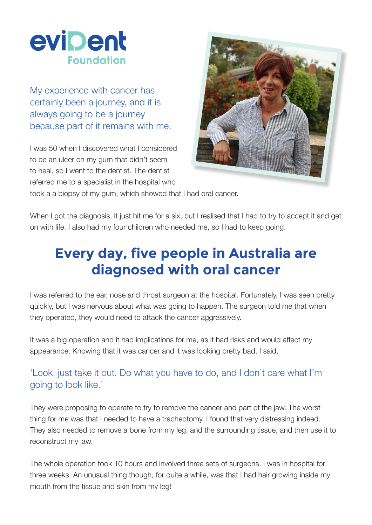

My experience with cancer has certainly been a journey, and it is always going to be a journey because part of it remains with me.

I was 50 when I discovered what I considered to be an ulcer on my gum that didn't seem to heal, so I went to the dentist. The dentist referred me to a specialist in the hospital who



took a a biopsy of my gum, which showed that I had oral cancer.

When I got the diagnosis, it just hit me for a six, but I realised that I had to try to accept it and get on with life. I also had my four children who needed me, so I had to keep going.

## **Every day, five people in Australia are diagnosed with oral cancer**

I was referred to the ear, nose and throat surgeon at the hospital. Fortunately, I was seen pretty quickly, but I was nervous about what was going to happen. The surgeon told me that when they operated, they would need to attack the cancer aggressively.

It was a big operation and it had implications for me, as it had risks and would affect my appearance. Knowing that it was cancer and it was looking pretty bad, I said,

## 'Look, just take it out. Do what you have to do, and I don't care what I'm going to look like.'

They were proposing to operate to try to remove the cancer and part of the jaw. The worst thing for me was that I needed to have a tracheotomy. I found that very distressing indeed. They also needed to remove a bone from my leg, and the surrounding tissue, and then use it to reconstruct my jaw.

The whole operation took 10 hours and involved three sets of surgeons. I was in hospital for three weeks. An unusual thing though, for quite a while, was that I had hair growing inside my mouth from the tissue and skin from my leg!